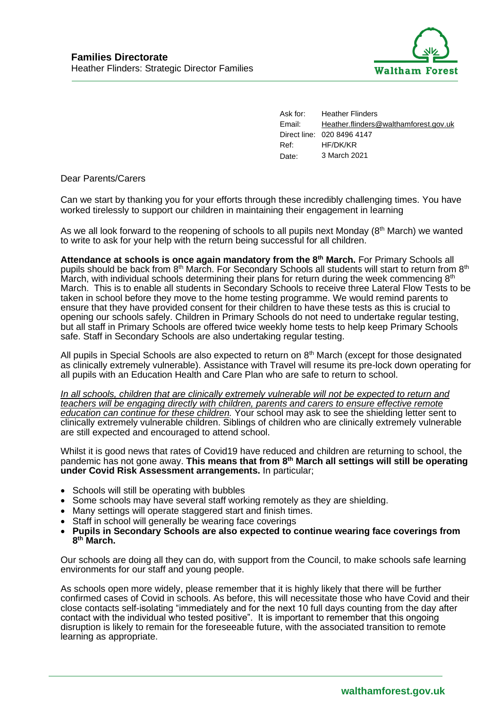

Ask for: Heather Flinders Email: [Heather.flinders@walthamforest.gov.uk](mailto:Heather.flinders@walthamforest.gov.uk) Direct line: 020 8496 4147 Ref: HF/DK/KR Date: 3 March 2021

Dear Parents/Carers

Can we start by thanking you for your efforts through these incredibly challenging times. You have worked tirelessly to support our children in maintaining their engagement in learning

As we all look forward to the reopening of schools to all pupils next Monday (8<sup>th</sup> March) we wanted to write to ask for your help with the return being successful for all children.

**Attendance at schools is once again mandatory from the 8th March.** For Primary Schools all pupils should be back from 8<sup>th</sup> March. For Secondary Schools all students will start to return from 8<sup>th</sup> March, with individual schools determining their plans for return during the week commencing  $8<sup>th</sup>$ March. This is to enable all students in Secondary Schools to receive three Lateral Flow Tests to be taken in school before they move to the home testing programme. We would remind parents to ensure that they have provided consent for their children to have these tests as this is crucial to opening our schools safely. Children in Primary Schools do not need to undertake regular testing, but all staff in Primary Schools are offered twice weekly home tests to help keep Primary Schools safe. Staff in Secondary Schools are also undertaking regular testing.

All pupils in Special Schools are also expected to return on  $8<sup>th</sup>$  March (except for those designated as clinically extremely vulnerable). Assistance with Travel will resume its pre-lock down operating for all pupils with an Education Health and Care Plan who are safe to return to school.

*In all schools, children that are clinically extremely vulnerable will not be expected to return and teachers will be engaging directly with children, parents and carers to ensure effective remote education can continue for these children.* Your school may ask to see the shielding letter sent to clinically extremely vulnerable children. Siblings of children who are clinically extremely vulnerable are still expected and encouraged to attend school.

Whilst it is good news that rates of Covid19 have reduced and children are returning to school, the pandemic has not gone away. **This means that from 8th March all settings will still be operating under Covid Risk Assessment arrangements.** In particular;

- Schools will still be operating with bubbles
- Some schools may have several staff working remotely as they are shielding.
- Many settings will operate staggered start and finish times.
- Staff in school will generally be wearing face coverings
- **Pupils in Secondary Schools are also expected to continue wearing face coverings from 8 th March.**

Our schools are doing all they can do, with support from the Council, to make schools safe learning environments for our staff and young people.

As schools open more widely, please remember that it is highly likely that there will be further confirmed cases of Covid in schools. As before, this will necessitate those who have Covid and their close contacts self-isolating "immediately and for the next 10 full days counting from the day after contact with the individual who tested positive". It is important to remember that this ongoing disruption is likely to remain for the foreseeable future, with the associated transition to remote learning as appropriate.